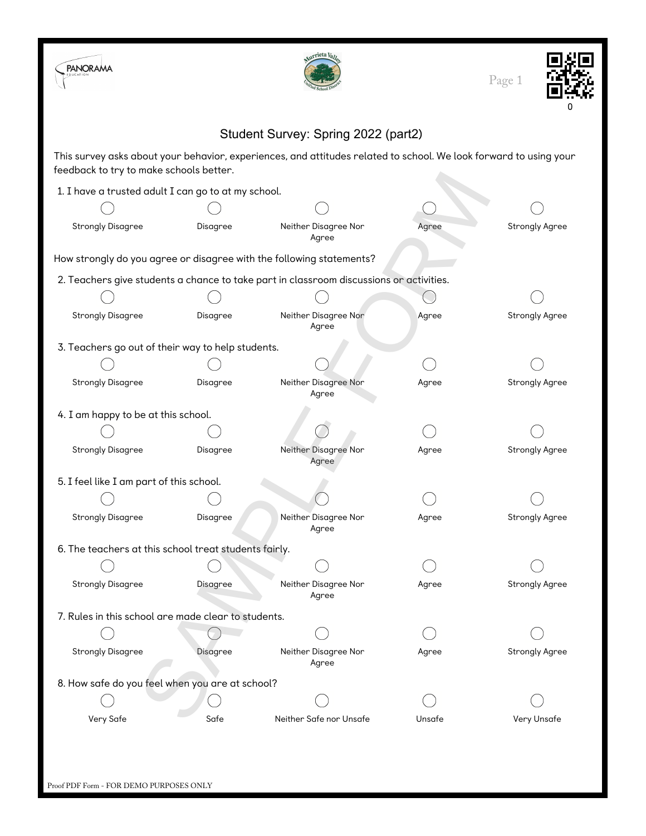